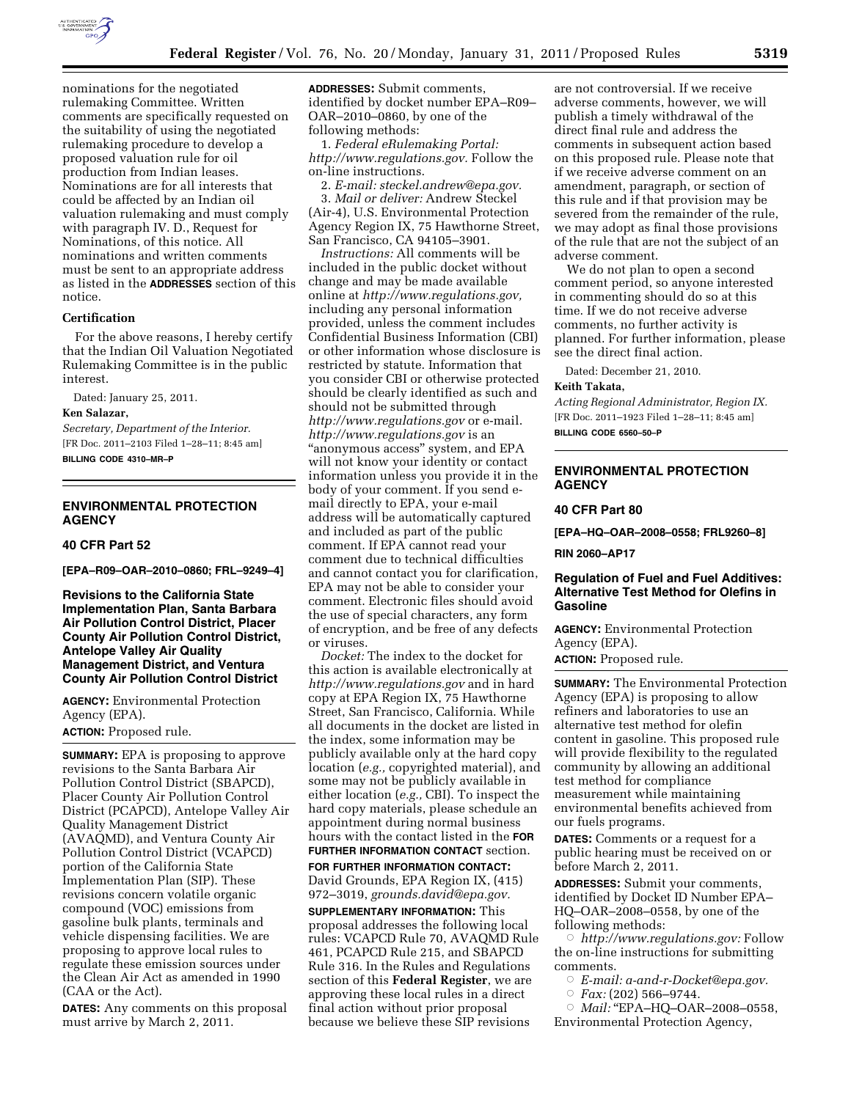

nominations for the negotiated rulemaking Committee. Written comments are specifically requested on the suitability of using the negotiated rulemaking procedure to develop a proposed valuation rule for oil production from Indian leases. Nominations are for all interests that could be affected by an Indian oil valuation rulemaking and must comply with paragraph IV. D., Request for Nominations, of this notice. All nominations and written comments must be sent to an appropriate address as listed in the **ADDRESSES** section of this notice.

### **Certification**

For the above reasons, I hereby certify that the Indian Oil Valuation Negotiated Rulemaking Committee is in the public interest.

Dated: January 25, 2011.

#### **Ken Salazar,**

*Secretary, Department of the Interior.*  [FR Doc. 2011–2103 Filed 1–28–11; 8:45 am] **BILLING CODE 4310–MR–P** 

# **ENVIRONMENTAL PROTECTION AGENCY**

### **40 CFR Part 52**

**[EPA–R09–OAR–2010–0860; FRL–9249–4]** 

**Revisions to the California State Implementation Plan, Santa Barbara Air Pollution Control District, Placer County Air Pollution Control District, Antelope Valley Air Quality Management District, and Ventura County Air Pollution Control District** 

**AGENCY:** Environmental Protection Agency (EPA).

**ACTION:** Proposed rule.

**SUMMARY:** EPA is proposing to approve revisions to the Santa Barbara Air Pollution Control District (SBAPCD), Placer County Air Pollution Control District (PCAPCD), Antelope Valley Air Quality Management District (AVAQMD), and Ventura County Air Pollution Control District (VCAPCD) portion of the California State Implementation Plan (SIP). These revisions concern volatile organic compound (VOC) emissions from gasoline bulk plants, terminals and vehicle dispensing facilities. We are proposing to approve local rules to regulate these emission sources under the Clean Air Act as amended in 1990 (CAA or the Act).

**DATES:** Any comments on this proposal must arrive by March 2, 2011.

**ADDRESSES:** Submit comments, identified by docket number EPA–R09– OAR–2010–0860, by one of the following methods:

1. *Federal eRulemaking Portal: [http://www.regulations.gov.](http://www.regulations.gov)* Follow the on-line instructions.

2. *E-mail: [steckel.andrew@epa.gov.](mailto:steckel.andrew@epa.gov)*  3. *Mail or deliver:* Andrew Steckel (Air-4), U.S. Environmental Protection Agency Region IX, 75 Hawthorne Street, San Francisco, CA 94105–3901.

*Instructions:* All comments will be included in the public docket without change and may be made available online at *[http://www.regulations.gov,](http://www.regulations.gov)*  including any personal information provided, unless the comment includes Confidential Business Information (CBI) or other information whose disclosure is restricted by statute. Information that you consider CBI or otherwise protected should be clearly identified as such and should not be submitted through *<http://www.regulations.gov>* or e-mail. *<http://www.regulations.gov>* is an "anonymous access" system, and EPA will not know your identity or contact information unless you provide it in the body of your comment. If you send email directly to EPA, your e-mail address will be automatically captured and included as part of the public comment. If EPA cannot read your comment due to technical difficulties and cannot contact you for clarification, EPA may not be able to consider your comment. Electronic files should avoid the use of special characters, any form of encryption, and be free of any defects or viruses.

*Docket:* The index to the docket for this action is available electronically at *<http://www.regulations.gov>* and in hard copy at EPA Region IX, 75 Hawthorne Street, San Francisco, California. While all documents in the docket are listed in the index, some information may be publicly available only at the hard copy location (*e.g.,* copyrighted material), and some may not be publicly available in either location (*e.g.,* CBI). To inspect the hard copy materials, please schedule an appointment during normal business hours with the contact listed in the **FOR FURTHER INFORMATION CONTACT** section. **FOR FURTHER INFORMATION CONTACT:** 

David Grounds, EPA Region IX, (415) 972–3019, *[grounds.david@epa.gov.](mailto:grounds.david@epa.gov)* 

**SUPPLEMENTARY INFORMATION:** This proposal addresses the following local rules: VCAPCD Rule 70, AVAQMD Rule 461, PCAPCD Rule 215, and SBAPCD Rule 316. In the Rules and Regulations section of this **Federal Register**, we are approving these local rules in a direct final action without prior proposal because we believe these SIP revisions

are not controversial. If we receive adverse comments, however, we will publish a timely withdrawal of the direct final rule and address the comments in subsequent action based on this proposed rule. Please note that if we receive adverse comment on an amendment, paragraph, or section of this rule and if that provision may be severed from the remainder of the rule, we may adopt as final those provisions of the rule that are not the subject of an adverse comment.

We do not plan to open a second comment period, so anyone interested in commenting should do so at this time. If we do not receive adverse comments, no further activity is planned. For further information, please see the direct final action.

Dated: December 21, 2010.

## **Keith Takata,**

*Acting Regional Administrator, Region IX.*  [FR Doc. 2011–1923 Filed 1–28–11; 8:45 am] **BILLING CODE 6560–50–P** 

**ENVIRONMENTAL PROTECTION AGENCY** 

### **40 CFR Part 80**

**[EPA–HQ–OAR–2008–0558; FRL9260–8]** 

**RIN 2060–AP17** 

# **Regulation of Fuel and Fuel Additives: Alternative Test Method for Olefins in Gasoline**

**AGENCY:** Environmental Protection Agency (EPA).

**ACTION:** Proposed rule.

**SUMMARY:** The Environmental Protection Agency (EPA) is proposing to allow refiners and laboratories to use an alternative test method for olefin content in gasoline. This proposed rule will provide flexibility to the regulated community by allowing an additional test method for compliance measurement while maintaining environmental benefits achieved from our fuels programs.

**DATES:** Comments or a request for a public hearing must be received on or before March 2, 2011.

**ADDRESSES:** Submit your comments, identified by Docket ID Number EPA– HQ–OAR–2008–0558, by one of the following methods:

Æ *[http://www.regulations.gov:](http://www.regulations.gov)* Follow the on-line instructions for submitting comments.

- Æ *E-mail: [a-and-r-Docket@epa.gov.](mailto:a-and-r-Docket@epa.gov)*
- Æ *Fax:* (202) 566–9744.

Æ *Mail:* ''EPA–HQ–OAR–2008–0558, Environmental Protection Agency,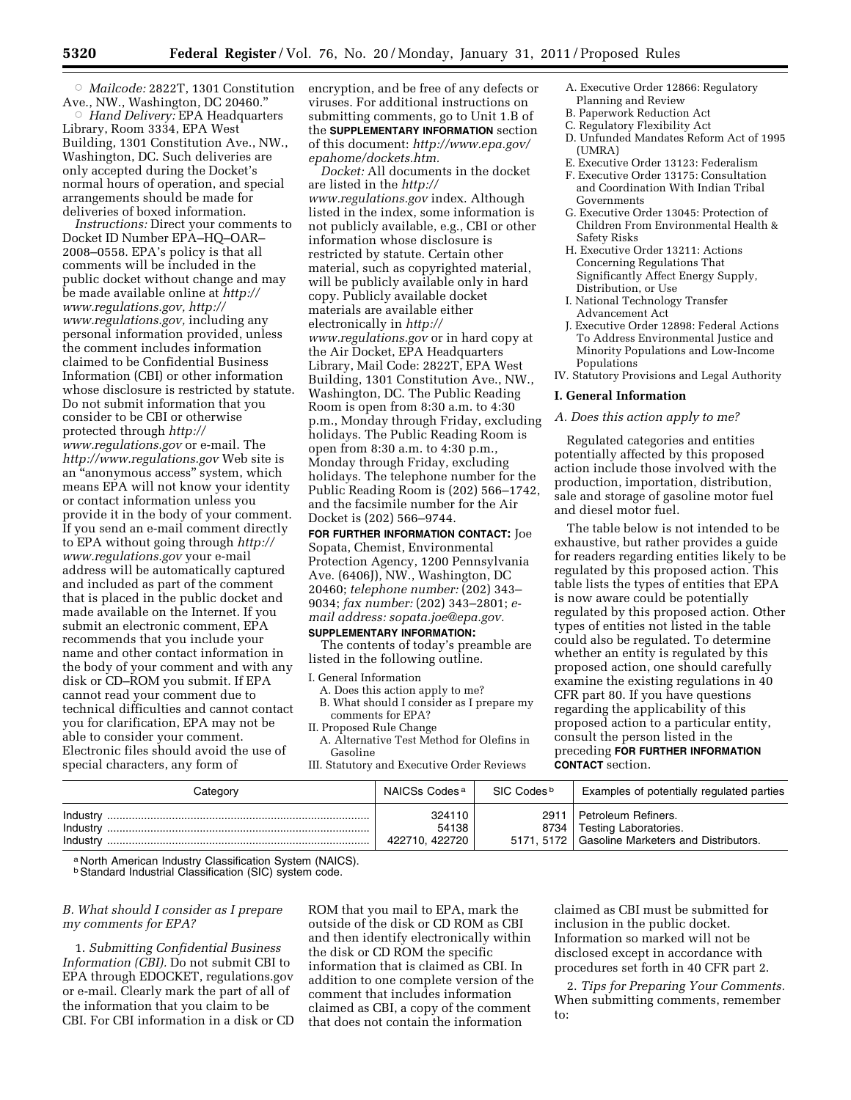Æ *Mailcode:* 2822T, 1301 Constitution Ave., NW., Washington, DC 20460.''

Æ *Hand Delivery:* EPA Headquarters Library, Room 3334, EPA West Building, 1301 Constitution Ave., NW., Washington, DC. Such deliveries are only accepted during the Docket's normal hours of operation, and special arrangements should be made for deliveries of boxed information.

*Instructions:* Direct your comments to Docket ID Number EPA–HQ–OAR– 2008–0558. EPA's policy is that all comments will be included in the public docket without change and may be made available online at *[http://](http://www.regulations.gov)  [www.regulations.gov,](http://www.regulations.gov) [http://](http://www.regulations.gov) [www.regulations.gov,](http://www.regulations.gov)* including any personal information provided, unless the comment includes information claimed to be Confidential Business Information (CBI) or other information whose disclosure is restricted by statute. Do not submit information that you consider to be CBI or otherwise protected through *[http://](http://www.regulations.gov)  [www.regulations.gov](http://www.regulations.gov)* or e-mail. The *<http://www.regulations.gov>* Web site is an ''anonymous access'' system, which means EPA will not know your identity or contact information unless you provide it in the body of your comment. If you send an e-mail comment directly to EPA without going through *[http://](http://www.regulations.gov) [www.regulations.gov](http://www.regulations.gov)* your e-mail address will be automatically captured and included as part of the comment that is placed in the public docket and made available on the Internet. If you submit an electronic comment, EPA recommends that you include your name and other contact information in the body of your comment and with any disk or CD–ROM you submit. If EPA cannot read your comment due to technical difficulties and cannot contact you for clarification, EPA may not be able to consider your comment. Electronic files should avoid the use of special characters, any form of

encryption, and be free of any defects or viruses. For additional instructions on submitting comments, go to Unit 1.B of the **SUPPLEMENTARY INFORMATION** section of this document: *[http://www.epa.gov/](http://www.epa.gov/epahome/dockets.htm)  [epahome/dockets.htm.](http://www.epa.gov/epahome/dockets.htm)* 

*Docket:* All documents in the docket are listed in the *[http://](http://www.regulations.gov) [www.regulations.gov](http://www.regulations.gov)* index. Although listed in the index, some information is not publicly available, e.g., CBI or other information whose disclosure is restricted by statute. Certain other material, such as copyrighted material, will be publicly available only in hard copy. Publicly available docket materials are available either electronically in *[http://](http://www.regulations.gov) [www.regulations.gov](http://www.regulations.gov)* or in hard copy at the Air Docket, EPA Headquarters Library, Mail Code: 2822T, EPA West Building, 1301 Constitution Ave., NW., Washington, DC. The Public Reading Room is open from 8:30 a.m. to 4:30 p.m., Monday through Friday, excluding holidays. The Public Reading Room is open from 8:30 a.m. to 4:30 p.m., Monday through Friday, excluding holidays. The telephone number for the Public Reading Room is (202) 566–1742, and the facsimile number for the Air Docket is (202) 566–9744.

**FOR FURTHER INFORMATION CONTACT:** Joe Sopata, Chemist, Environmental Protection Agency, 1200 Pennsylvania Ave. (6406J), NW., Washington, DC 20460; *telephone number:* (202) 343– 9034; *fax number:* (202) 343–2801; *email address: [sopata.joe@epa.gov.](mailto:sopata.joe@epa.gov)* 

#### **SUPPLEMENTARY INFORMATION:**

The contents of today's preamble are listed in the following outline.

- I. General Information
	- A. Does this action apply to me?
	- B. What should I consider as I prepare my comments for EPA?
- II. Proposed Rule Change
- A. Alternative Test Method for Olefins in Gasoline

III. Statutory and Executive Order Reviews

- A. Executive Order 12866: Regulatory Planning and Review
- B. Paperwork Reduction Act
- C. Regulatory Flexibility Act
- D. Unfunded Mandates Reform Act of 1995  $(IIMRA)$
- E. Executive Order 13123: Federalism
- F. Executive Order 13175: Consultation and Coordination With Indian Tribal Governments
- G. Executive Order 13045: Protection of Children From Environmental Health & Safety Risks
- H. Executive Order 13211: Actions Concerning Regulations That Significantly Affect Energy Supply, Distribution, or Use
- I. National Technology Transfer Advancement Act
- J. Executive Order 12898: Federal Actions To Address Environmental Justice and Minority Populations and Low-Income Populations

IV. Statutory Provisions and Legal Authority

#### **I. General Information**

#### *A. Does this action apply to me?*

Regulated categories and entities potentially affected by this proposed action include those involved with the production, importation, distribution, sale and storage of gasoline motor fuel and diesel motor fuel.

The table below is not intended to be exhaustive, but rather provides a guide for readers regarding entities likely to be regulated by this proposed action. This table lists the types of entities that EPA is now aware could be potentially regulated by this proposed action. Other types of entities not listed in the table could also be regulated. To determine whether an entity is regulated by this proposed action, one should carefully examine the existing regulations in 40 CFR part 80. If you have questions regarding the applicability of this proposed action to a particular entity, consult the person listed in the preceding **FOR FURTHER INFORMATION CONTACT** section.

| Category                         | NAICSs Codes <sup>a</sup>         | SIC Codes <sup>b</sup> | Examples of potentially regulated parties                                                                |
|----------------------------------|-----------------------------------|------------------------|----------------------------------------------------------------------------------------------------------|
| Industry<br>Industry<br>Industry | 324110<br>54138<br>422710, 422720 | 2911                   | Petroleum Refiners.<br>8734   Testing Laboratories.<br>5171, 5172   Gasoline Marketers and Distributors. |

a North American Industry Classification System (NAICS).

**b Standard Industrial Classification (SIC) system code.** 

# *B. What should I consider as I prepare my comments for EPA?*

1. *Submitting Confidential Business Information (CBI).* Do not submit CBI to EPA through EDOCKET, regulations.gov or e-mail. Clearly mark the part of all of the information that you claim to be CBI. For CBI information in a disk or CD

ROM that you mail to EPA, mark the outside of the disk or CD ROM as CBI and then identify electronically within the disk or CD ROM the specific information that is claimed as CBI. In addition to one complete version of the comment that includes information claimed as CBI, a copy of the comment that does not contain the information

claimed as CBI must be submitted for inclusion in the public docket. Information so marked will not be disclosed except in accordance with procedures set forth in 40 CFR part 2.

2. *Tips for Preparing Your Comments.*  When submitting comments, remember to: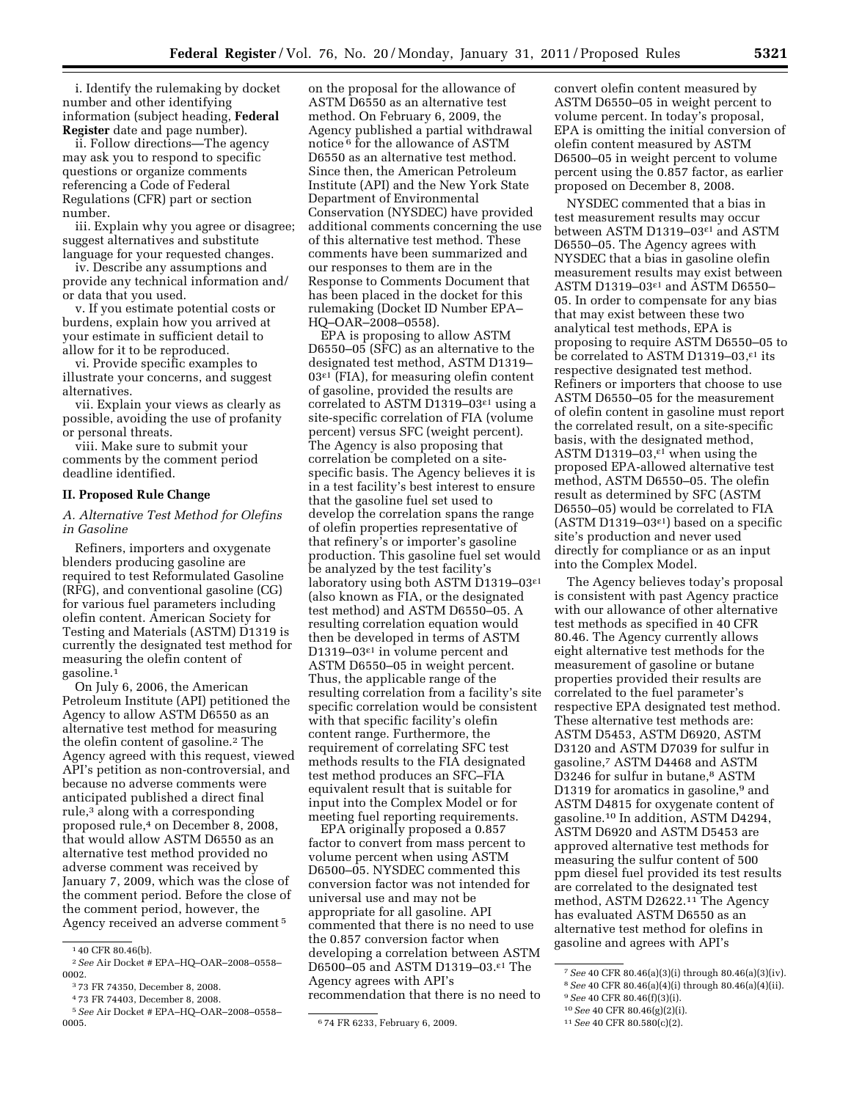i. Identify the rulemaking by docket number and other identifying information (subject heading, **Federal Register** date and page number).

ii. Follow directions—The agency may ask you to respond to specific questions or organize comments referencing a Code of Federal Regulations (CFR) part or section number.

iii. Explain why you agree or disagree; suggest alternatives and substitute language for your requested changes.

iv. Describe any assumptions and provide any technical information and/ or data that you used.

v. If you estimate potential costs or burdens, explain how you arrived at your estimate in sufficient detail to allow for it to be reproduced.

vi. Provide specific examples to illustrate your concerns, and suggest alternatives.

vii. Explain your views as clearly as possible, avoiding the use of profanity or personal threats.

viii. Make sure to submit your comments by the comment period deadline identified.

#### **II. Proposed Rule Change**

*A. Alternative Test Method for Olefins in Gasoline* 

Refiners, importers and oxygenate blenders producing gasoline are required to test Reformulated Gasoline (RFG), and conventional gasoline (CG) for various fuel parameters including olefin content. American Society for Testing and Materials (ASTM) D1319 is currently the designated test method for measuring the olefin content of gasoline.1

On July 6, 2006, the American Petroleum Institute (API) petitioned the Agency to allow ASTM D6550 as an alternative test method for measuring the olefin content of gasoline.2 The Agency agreed with this request, viewed API's petition as non-controversial, and because no adverse comments were anticipated published a direct final rule,<sup>3</sup> along with a corresponding proposed rule,4 on December 8, 2008, that would allow ASTM D6550 as an alternative test method provided no adverse comment was received by January 7, 2009, which was the close of the comment period. Before the close of the comment period, however, the Agency received an adverse comment 5

on the proposal for the allowance of ASTM D6550 as an alternative test method. On February 6, 2009, the Agency published a partial withdrawal notice 6 for the allowance of ASTM D6550 as an alternative test method. Since then, the American Petroleum Institute (API) and the New York State Department of Environmental Conservation (NYSDEC) have provided additional comments concerning the use of this alternative test method. These comments have been summarized and our responses to them are in the Response to Comments Document that has been placed in the docket for this rulemaking (Docket ID Number EPA– HQ–OAR–2008–0558).

EPA is proposing to allow ASTM D6550–05 (SFC) as an alternative to the designated test method, ASTM D1319–  $03<sup>ε1</sup>$  (FIA), for measuring olefin content of gasoline, provided the results are correlated to ASTM D1319–03ε1 using a site-specific correlation of FIA (volume percent) versus SFC (weight percent). The Agency is also proposing that correlation be completed on a sitespecific basis. The Agency believes it is in a test facility's best interest to ensure that the gasoline fuel set used to develop the correlation spans the range of olefin properties representative of that refinery's or importer's gasoline production. This gasoline fuel set would be analyzed by the test facility's laboratory using both ASTM D1319–03ε1 (also known as FIA, or the designated test method) and ASTM D6550–05. A resulting correlation equation would then be developed in terms of ASTM D1319–03ε1 in volume percent and ASTM D6550–05 in weight percent. Thus, the applicable range of the resulting correlation from a facility's site specific correlation would be consistent with that specific facility's olefin content range. Furthermore, the requirement of correlating SFC test methods results to the FIA designated test method produces an SFC–FIA equivalent result that is suitable for input into the Complex Model or for meeting fuel reporting requirements.

EPA originally proposed a 0.857 factor to convert from mass percent to volume percent when using ASTM D6500–05. NYSDEC commented this conversion factor was not intended for universal use and may not be appropriate for all gasoline. API commented that there is no need to use the 0.857 conversion factor when developing a correlation between ASTM D6500–05 and ASTM D1319–03.ε1 The Agency agrees with API's recommendation that there is no need to convert olefin content measured by ASTM D6550–05 in weight percent to volume percent. In today's proposal, EPA is omitting the initial conversion of olefin content measured by ASTM D6500–05 in weight percent to volume percent using the 0.857 factor, as earlier proposed on December 8, 2008.

NYSDEC commented that a bias in test measurement results may occur between ASTM D1319–03ε1 and ASTM D6550–05. The Agency agrees with NYSDEC that a bias in gasoline olefin measurement results may exist between ASTM D1319–03ε1 and ASTM D6550– 05. In order to compensate for any bias that may exist between these two analytical test methods, EPA is proposing to require ASTM D6550–05 to be correlated to ASTM D1319–03,<sup>ε1</sup> its respective designated test method. Refiners or importers that choose to use ASTM D6550–05 for the measurement of olefin content in gasoline must report the correlated result, on a site-specific basis, with the designated method, ASTM D1319–03,ε1 when using the proposed EPA-allowed alternative test method, ASTM D6550–05. The olefin result as determined by SFC (ASTM D6550–05) would be correlated to FIA  $(ASTM D1319–03<sup>ε1</sup>)$  based on a specific site's production and never used directly for compliance or as an input into the Complex Model.

The Agency believes today's proposal is consistent with past Agency practice with our allowance of other alternative test methods as specified in 40 CFR 80.46. The Agency currently allows eight alternative test methods for the measurement of gasoline or butane properties provided their results are correlated to the fuel parameter's respective EPA designated test method. These alternative test methods are: ASTM D5453, ASTM D6920, ASTM D3120 and ASTM D7039 for sulfur in gasoline,7 ASTM D4468 and ASTM D3246 for sulfur in butane,<sup>8</sup> ASTM D1319 for aromatics in gasoline,<sup>9</sup> and ASTM D4815 for oxygenate content of gasoline.10 In addition, ASTM D4294, ASTM D6920 and ASTM D5453 are approved alternative test methods for measuring the sulfur content of 500 ppm diesel fuel provided its test results are correlated to the designated test method, ASTM D2622.11 The Agency has evaluated ASTM D6550 as an alternative test method for olefins in gasoline and agrees with API's

<sup>1</sup> 40 CFR 80.46(b).

<sup>2</sup>*See* Air Docket # EPA–HQ–OAR–2008–0558– 0002.

<sup>3</sup> 73 FR 74350, December 8, 2008.

<sup>4</sup> 73 FR 74403, December 8, 2008. 5*See* Air Docket # EPA–HQ–OAR–2008–0558–

<sup>&</sup>lt;sup>6</sup>74 FR 6233, February 6, 2009.

<sup>7</sup>*See* 40 CFR 80.46(a)(3)(i) through 80.46(a)(3)(iv). 8*See* 40 CFR 80.46(a)(4)(i) through 80.46(a)(4)(ii). 9*See* 40 CFR 80.46(f)(3)(i).

<sup>10</sup>*See* 40 CFR 80.46(g)(2)(i).

<sup>11</sup>*See* 40 CFR 80.580(c)(2).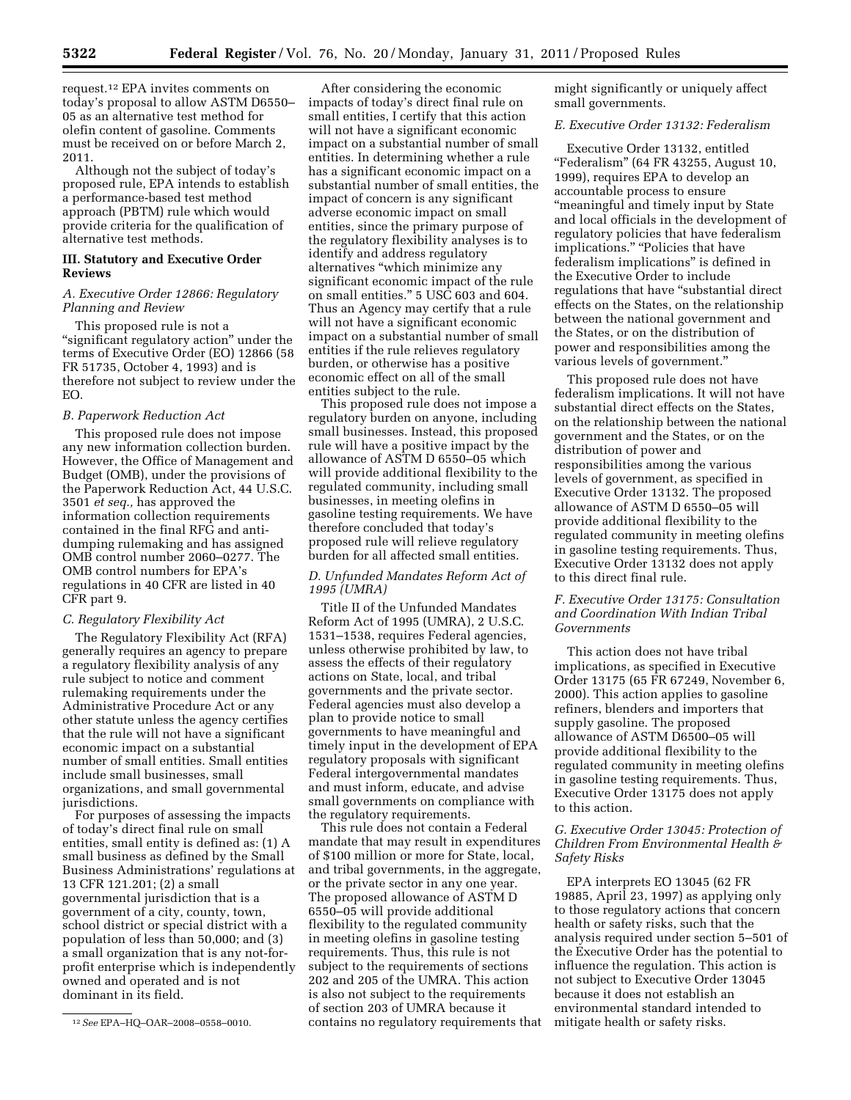request.12 EPA invites comments on today's proposal to allow ASTM D6550– 05 as an alternative test method for olefin content of gasoline. Comments must be received on or before March 2, 2011.

Although not the subject of today's proposed rule, EPA intends to establish a performance-based test method approach (PBTM) rule which would provide criteria for the qualification of alternative test methods.

# **III. Statutory and Executive Order Reviews**

### *A. Executive Order 12866: Regulatory Planning and Review*

This proposed rule is not a "significant regulatory action" under the terms of Executive Order (EO) 12866 (58 FR 51735, October 4, 1993) and is therefore not subject to review under the EO.

#### *B. Paperwork Reduction Act*

This proposed rule does not impose any new information collection burden. However, the Office of Management and Budget (OMB), under the provisions of the Paperwork Reduction Act, 44 U.S.C. 3501 *et seq.,* has approved the information collection requirements contained in the final RFG and antidumping rulemaking and has assigned OMB control number 2060–0277. The OMB control numbers for EPA's regulations in 40 CFR are listed in 40 CFR part 9.

#### *C. Regulatory Flexibility Act*

The Regulatory Flexibility Act (RFA) generally requires an agency to prepare a regulatory flexibility analysis of any rule subject to notice and comment rulemaking requirements under the Administrative Procedure Act or any other statute unless the agency certifies that the rule will not have a significant economic impact on a substantial number of small entities. Small entities include small businesses, small organizations, and small governmental jurisdictions.

For purposes of assessing the impacts of today's direct final rule on small entities, small entity is defined as: (1) A small business as defined by the Small Business Administrations' regulations at 13 CFR 121.201; (2) a small governmental jurisdiction that is a government of a city, county, town, school district or special district with a population of less than 50,000; and (3) a small organization that is any not-forprofit enterprise which is independently owned and operated and is not dominant in its field.

After considering the economic impacts of today's direct final rule on small entities, I certify that this action will not have a significant economic impact on a substantial number of small entities. In determining whether a rule has a significant economic impact on a substantial number of small entities, the impact of concern is any significant adverse economic impact on small entities, since the primary purpose of the regulatory flexibility analyses is to identify and address regulatory alternatives ''which minimize any significant economic impact of the rule on small entities.'' 5 USC 603 and 604. Thus an Agency may certify that a rule will not have a significant economic impact on a substantial number of small entities if the rule relieves regulatory burden, or otherwise has a positive economic effect on all of the small entities subject to the rule.

This proposed rule does not impose a regulatory burden on anyone, including small businesses. Instead, this proposed rule will have a positive impact by the allowance of ASTM D 6550–05 which will provide additional flexibility to the regulated community, including small businesses, in meeting olefins in gasoline testing requirements. We have therefore concluded that today's proposed rule will relieve regulatory burden for all affected small entities.

## *D. Unfunded Mandates Reform Act of 1995 (UMRA)*

Title II of the Unfunded Mandates Reform Act of 1995 (UMRA), 2 U.S.C. 1531–1538, requires Federal agencies, unless otherwise prohibited by law, to assess the effects of their regulatory actions on State, local, and tribal governments and the private sector. Federal agencies must also develop a plan to provide notice to small governments to have meaningful and timely input in the development of EPA regulatory proposals with significant Federal intergovernmental mandates and must inform, educate, and advise small governments on compliance with the regulatory requirements.

This rule does not contain a Federal mandate that may result in expenditures of \$100 million or more for State, local, and tribal governments, in the aggregate, or the private sector in any one year. The proposed allowance of ASTM D 6550–05 will provide additional flexibility to the regulated community in meeting olefins in gasoline testing requirements. Thus, this rule is not subject to the requirements of sections 202 and 205 of the UMRA. This action is also not subject to the requirements of section 203 of UMRA because it contains no regulatory requirements that might significantly or uniquely affect small governments.

## *E. Executive Order 13132: Federalism*

Executive Order 13132, entitled ''Federalism'' (64 FR 43255, August 10, 1999), requires EPA to develop an accountable process to ensure ''meaningful and timely input by State and local officials in the development of regulatory policies that have federalism implications." "Policies that have federalism implications'' is defined in the Executive Order to include regulations that have "substantial direct effects on the States, on the relationship between the national government and the States, or on the distribution of power and responsibilities among the various levels of government.''

This proposed rule does not have federalism implications. It will not have substantial direct effects on the States, on the relationship between the national government and the States, or on the distribution of power and responsibilities among the various levels of government, as specified in Executive Order 13132. The proposed allowance of ASTM D 6550–05 will provide additional flexibility to the regulated community in meeting olefins in gasoline testing requirements. Thus, Executive Order 13132 does not apply to this direct final rule.

# *F. Executive Order 13175: Consultation and Coordination With Indian Tribal Governments*

This action does not have tribal implications, as specified in Executive Order 13175 (65 FR 67249, November 6, 2000). This action applies to gasoline refiners, blenders and importers that supply gasoline. The proposed allowance of ASTM D6500–05 will provide additional flexibility to the regulated community in meeting olefins in gasoline testing requirements. Thus, Executive Order 13175 does not apply to this action.

# *G. Executive Order 13045: Protection of Children From Environmental Health & Safety Risks*

EPA interprets EO 13045 (62 FR 19885, April 23, 1997) as applying only to those regulatory actions that concern health or safety risks, such that the analysis required under section 5–501 of the Executive Order has the potential to influence the regulation. This action is not subject to Executive Order 13045 because it does not establish an environmental standard intended to mitigate health or safety risks.

<sup>12</sup>*See* EPA–HQ–OAR–2008–0558–0010.